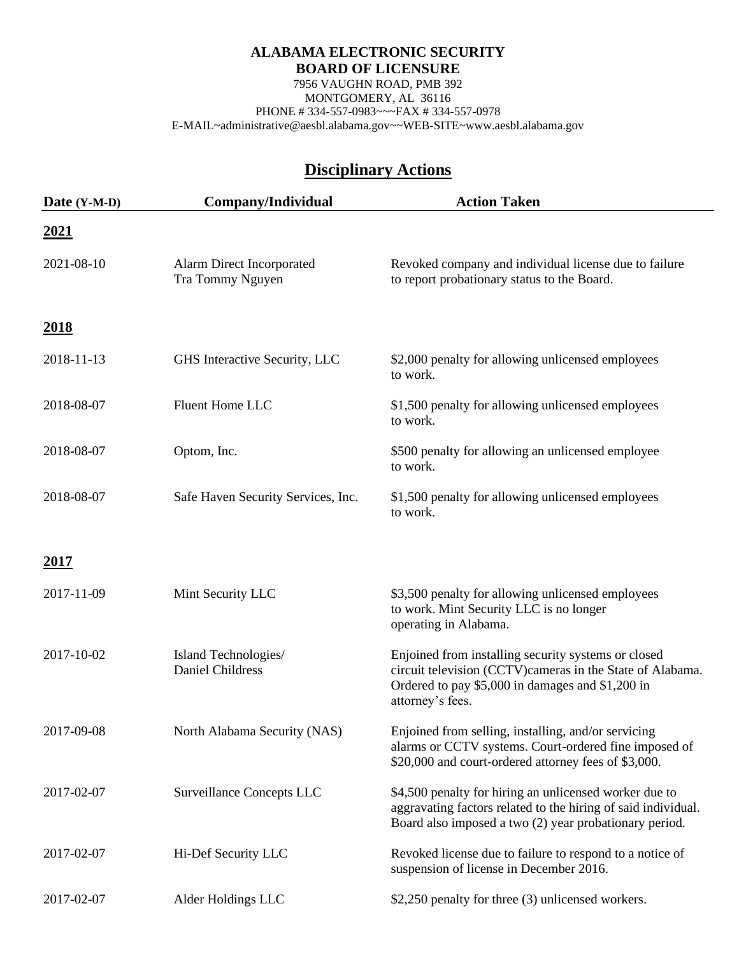7956 VAUGHN ROAD, PMB 392 MONTGOMERY, AL 36116 PHONE # 334-557-0983~~~FAX # 334-557-0978 E-MAIL~administrative@aesbl.alabama.gov~~WEB-SITE~www.aesbl.alabama.gov

| Date (Y-M-D)  | Company/Individual                              | <b>Action Taken</b>                                                                                                                                                                      |
|---------------|-------------------------------------------------|------------------------------------------------------------------------------------------------------------------------------------------------------------------------------------------|
| <u>2021</u>   |                                                 |                                                                                                                                                                                          |
| 2021-08-10    | Alarm Direct Incorporated<br>Tra Tommy Nguyen   | Revoked company and individual license due to failure<br>to report probationary status to the Board.                                                                                     |
| <u>2018</u>   |                                                 |                                                                                                                                                                                          |
| 2018-11-13    | GHS Interactive Security, LLC                   | \$2,000 penalty for allowing unlicensed employees<br>to work.                                                                                                                            |
| 2018-08-07    | Fluent Home LLC                                 | \$1,500 penalty for allowing unlicensed employees<br>to work.                                                                                                                            |
| 2018-08-07    | Optom, Inc.                                     | \$500 penalty for allowing an unlicensed employee<br>to work.                                                                                                                            |
| 2018-08-07    | Safe Haven Security Services, Inc.              | \$1,500 penalty for allowing unlicensed employees<br>to work.                                                                                                                            |
| <u> 2017 </u> |                                                 |                                                                                                                                                                                          |
| 2017-11-09    | Mint Security LLC                               | \$3,500 penalty for allowing unlicensed employees<br>to work. Mint Security LLC is no longer<br>operating in Alabama.                                                                    |
| 2017-10-02    | Island Technologies/<br><b>Daniel Childress</b> | Enjoined from installing security systems or closed<br>circuit television (CCTV)cameras in the State of Alabama.<br>Ordered to pay \$5,000 in damages and \$1,200 in<br>attorney's fees. |
| 2017-09-08    | North Alabama Security (NAS)                    | Enjoined from selling, installing, and/or servicing<br>alarms or CCTV systems. Court-ordered fine imposed of<br>\$20,000 and court-ordered attorney fees of \$3,000.                     |
| 2017-02-07    | <b>Surveillance Concepts LLC</b>                | \$4,500 penalty for hiring an unlicensed worker due to<br>aggravating factors related to the hiring of said individual.<br>Board also imposed a two (2) year probationary period.        |
| 2017-02-07    | Hi-Def Security LLC                             | Revoked license due to failure to respond to a notice of<br>suspension of license in December 2016.                                                                                      |
| 2017-02-07    | Alder Holdings LLC                              | \$2,250 penalty for three (3) unlicensed workers.                                                                                                                                        |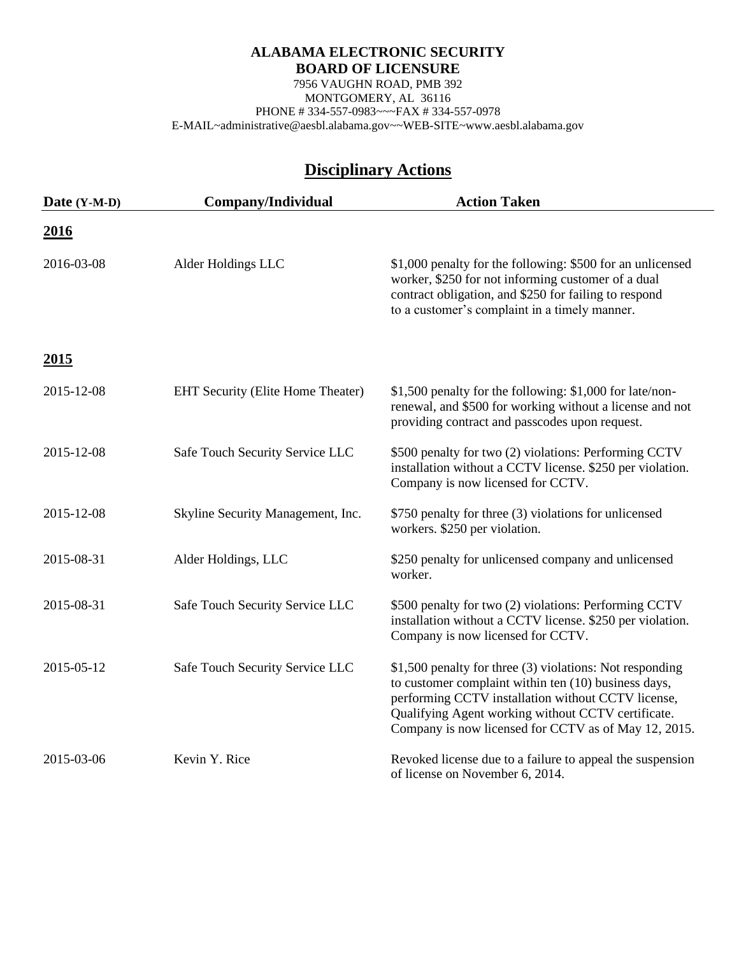7956 VAUGHN ROAD, PMB 392 MONTGOMERY, AL 36116 PHONE # 334-557-0983~~~FAX # 334-557-0978 E-MAIL~administrative@aesbl.alabama.gov~~WEB-SITE~www.aesbl.alabama.gov

| Date (Y-M-D) | Company/Individual                | <b>Action Taken</b>                                                                                                                                                                                                                                                                  |
|--------------|-----------------------------------|--------------------------------------------------------------------------------------------------------------------------------------------------------------------------------------------------------------------------------------------------------------------------------------|
| <u>2016</u>  |                                   |                                                                                                                                                                                                                                                                                      |
| 2016-03-08   | Alder Holdings LLC                | \$1,000 penalty for the following: \$500 for an unlicensed<br>worker, \$250 for not informing customer of a dual<br>contract obligation, and \$250 for failing to respond<br>to a customer's complaint in a timely manner.                                                           |
| <u>2015</u>  |                                   |                                                                                                                                                                                                                                                                                      |
| 2015-12-08   | EHT Security (Elite Home Theater) | \$1,500 penalty for the following: \$1,000 for late/non-<br>renewal, and \$500 for working without a license and not<br>providing contract and passcodes upon request.                                                                                                               |
| 2015-12-08   | Safe Touch Security Service LLC   | \$500 penalty for two (2) violations: Performing CCTV<br>installation without a CCTV license. \$250 per violation.<br>Company is now licensed for CCTV.                                                                                                                              |
| 2015-12-08   | Skyline Security Management, Inc. | \$750 penalty for three (3) violations for unlicensed<br>workers. \$250 per violation.                                                                                                                                                                                               |
| 2015-08-31   | Alder Holdings, LLC               | \$250 penalty for unlicensed company and unlicensed<br>worker.                                                                                                                                                                                                                       |
| 2015-08-31   | Safe Touch Security Service LLC   | \$500 penalty for two (2) violations: Performing CCTV<br>installation without a CCTV license. \$250 per violation.<br>Company is now licensed for CCTV.                                                                                                                              |
| 2015-05-12   | Safe Touch Security Service LLC   | \$1,500 penalty for three (3) violations: Not responding<br>to customer complaint within ten (10) business days,<br>performing CCTV installation without CCTV license,<br>Qualifying Agent working without CCTV certificate.<br>Company is now licensed for CCTV as of May 12, 2015. |
| 2015-03-06   | Kevin Y. Rice                     | Revoked license due to a failure to appeal the suspension<br>of license on November 6, 2014.                                                                                                                                                                                         |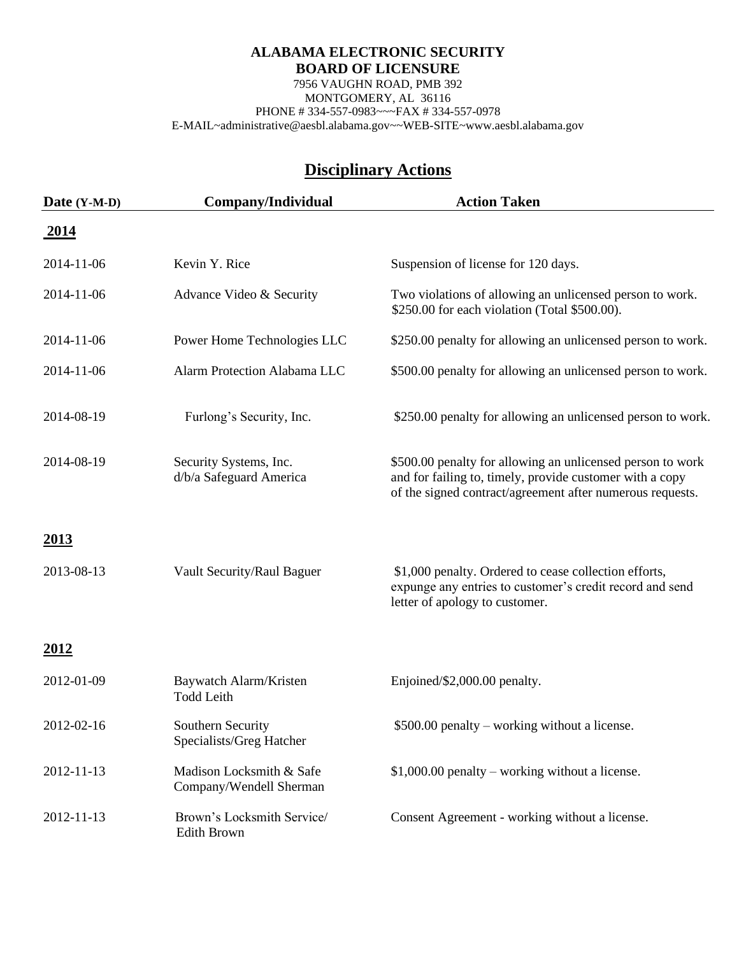7956 VAUGHN ROAD, PMB 392 MONTGOMERY, AL 36116 PHONE # 334-557-0983~~~FAX # 334-557-0978 E-MAIL~administrative@aesbl.alabama.gov~~WEB-SITE~www.aesbl.alabama.gov

| Date (Y-M-D) | Company/Individual                                  | <b>Action Taken</b>                                                                                                                                                                 |
|--------------|-----------------------------------------------------|-------------------------------------------------------------------------------------------------------------------------------------------------------------------------------------|
| <u>2014</u>  |                                                     |                                                                                                                                                                                     |
| 2014-11-06   | Kevin Y. Rice                                       | Suspension of license for 120 days.                                                                                                                                                 |
| 2014-11-06   | Advance Video & Security                            | Two violations of allowing an unlicensed person to work.<br>\$250.00 for each violation (Total \$500.00).                                                                           |
| 2014-11-06   | Power Home Technologies LLC                         | \$250.00 penalty for allowing an unlicensed person to work.                                                                                                                         |
| 2014-11-06   | Alarm Protection Alabama LLC                        | \$500.00 penalty for allowing an unlicensed person to work.                                                                                                                         |
| 2014-08-19   | Furlong's Security, Inc.                            | \$250.00 penalty for allowing an unlicensed person to work.                                                                                                                         |
| 2014-08-19   | Security Systems, Inc.<br>d/b/a Safeguard America   | \$500.00 penalty for allowing an unlicensed person to work<br>and for failing to, timely, provide customer with a copy<br>of the signed contract/agreement after numerous requests. |
| <u>2013</u>  |                                                     |                                                                                                                                                                                     |
| 2013-08-13   | Vault Security/Raul Baguer                          | \$1,000 penalty. Ordered to cease collection efforts,<br>expunge any entries to customer's credit record and send<br>letter of apology to customer.                                 |
| <u>2012</u>  |                                                     |                                                                                                                                                                                     |
| 2012-01-09   | Baywatch Alarm/Kristen<br><b>Todd Leith</b>         | Enjoined/\$2,000.00 penalty.                                                                                                                                                        |
| 2012-02-16   | Southern Security<br>Specialists/Greg Hatcher       | \$500.00 penalty – working without a license.                                                                                                                                       |
| 2012-11-13   | Madison Locksmith & Safe<br>Company/Wendell Sherman | $$1,000.00$ penalty – working without a license.                                                                                                                                    |
| 2012-11-13   | Brown's Locksmith Service/<br>Edith Brown           | Consent Agreement - working without a license.                                                                                                                                      |